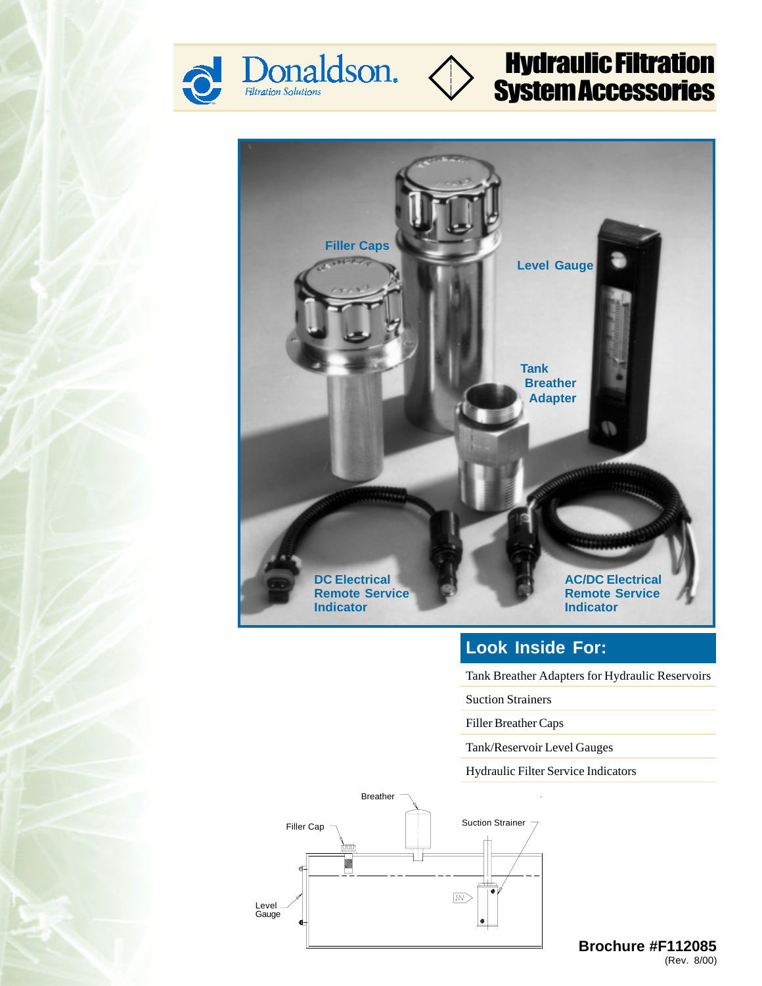





### **Look Inside For:**

Tank Breather Adapters for Hydraulic Reservoirs

Suction Strainers

Filler Breather Caps

Tank/Reservoir Level Gauges

Hydraulic Filter Service Indicators



(Rev. 8/00) **Brochure #F112085**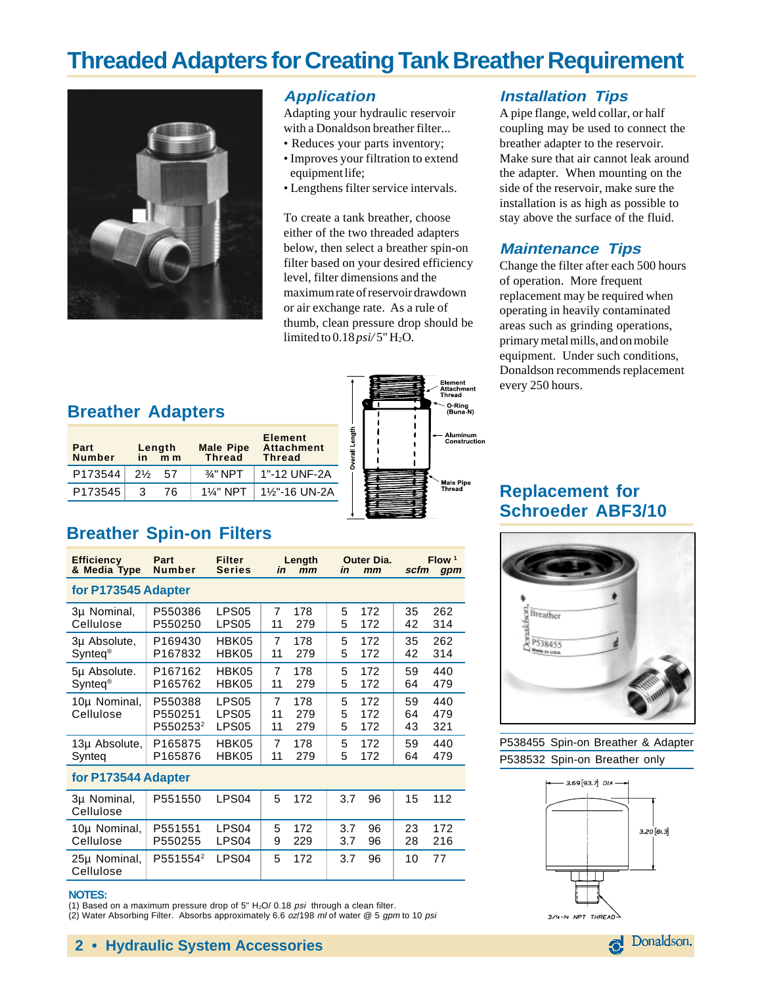## **Threaded Adapters for Creating Tank Breather Requirement**



#### **Application**

Adapting your hydraulic reservoir with a Donaldson breather filter...

- Reduces your parts inventory;
- Improves your filtration to extend equipment life;
- Lengthens filter service intervals.

To create a tank breather, choose either of the two threaded adapters below, then select a breather spin-on filter based on your desired efficiency level, filter dimensions and the maximum rate of reservoir drawdown or air exchange rate. As a rule of thumb, clean pressure drop should be limited to  $0.18 \text{ psi}/5$ " H<sub>2</sub>O.

#### **Installation Tips**

A pipe flange, weld collar, or half coupling may be used to connect the breather adapter to the reservoir. Make sure that air cannot leak around the adapter. When mounting on the side of the reservoir, make sure the installation is as high as possible to stay above the surface of the fluid.

#### **Maintenance Tips**

Change the filter after each 500 hours of operation. More frequent replacement may be required when operating in heavily contaminated areas such as grinding operations, primary metal mills, and on mobile equipment. Under such conditions, Donaldson recommends replacement every 250 hours.

#### **Breather Adapters**

| Part<br><b>Number</b> | in             | Length<br>m <sub>m</sub> | <b>Male Pipe</b><br><b>Thread</b> | <b>Element</b><br><b>Attachment</b><br><b>Thread</b> |
|-----------------------|----------------|--------------------------|-----------------------------------|------------------------------------------------------|
| P173544               | $2\frac{1}{2}$ | 57                       | $\frac{3}{4}$ " NPT               | 1"-12 UNF-2A                                         |
| P173545               | 3              | 76.                      | $1\%$ " NPT                       | 1%"-16 UN-2A                                         |



### **Replacement for Schroeder ABF3/10**



P538455 Spin-on Breather & Adapter P538532 Spin-on Breather only



### **& Media Type Number Series in mm in mm scfm gpm for P173545 Adapter**

**Breather Spin-on Filters**

| 3µ Nominal,<br>Cellulose          | P550386<br>P550250                         | LPS <sub>05</sub><br>LPS <sub>05</sub>                      | 7<br>11       | 178<br>279        | 5<br>172<br>5<br>172             | 35<br>42       | 262<br>314        |
|-----------------------------------|--------------------------------------------|-------------------------------------------------------------|---------------|-------------------|----------------------------------|----------------|-------------------|
| 3µ Absolute,<br>$Surface^{\circ}$ | P <sub>169430</sub><br>P167832             | HBK05<br>HBK05                                              | 7<br>11       | 178<br>279        | 5<br>172<br>5<br>172             | 35<br>42       | 262<br>314        |
| 5µ Absolute.<br>$Surface^{\circ}$ | P167162<br>P165762                         | HBK05<br>HBK05                                              | 7<br>11       | 178<br>279        | 5<br>172<br>5<br>172             | 59<br>64       | 440<br>479        |
| 10µ Nominal,<br>Cellulose         | P550388<br>P550251<br>P550253 <sup>2</sup> | LPS <sub>05</sub><br>LPS <sub>05</sub><br>LPS <sub>05</sub> | 7<br>11<br>11 | 178<br>279<br>279 | 5<br>172<br>5<br>172<br>5<br>172 | 59<br>64<br>43 | 440<br>479<br>321 |
| 13µ Absolute,<br>Synteg           | P165875<br>P165876                         | HBK05<br>HBK05                                              | 7<br>11       | 178<br>279        | 5<br>172<br>5<br>172             | 59<br>64       | 440<br>479        |
| for P173544 Adapter               |                                            |                                                             |               |                   |                                  |                |                   |
| 3µ Nominal,<br>Cellulose          | P551550                                    | LPS <sub>04</sub>                                           | 5             | 172               | 3.7<br>96                        | 15             | 112               |
| 10µ Nominal,                      | P551551                                    | LPS <sub>04</sub>                                           | 5             | 172               | 96<br>3.7                        | 23             | 172               |

**Efficiency Part Filter Length Outer Dia. Flow 1**

| $10\mu$ Norminal, PSS1SS1 LPS04   S 17Z<br>Cellulose         | P550255 LPS04 9 229 |  | 90 / ن<br>3.7 96 | 20 IZ<br>28 216 |  |
|--------------------------------------------------------------|---------------------|--|------------------|-----------------|--|
| 25µ Nominal, P551554 <sup>2</sup> LPS04   5 172<br>Cellulose |                     |  | 3.7 96           | - 10 - 77       |  |

#### **NOTES:**

(1) Based on a maximum pressure drop of 5"  $H<sub>2</sub>O/ 0.18$  psi through a clean filter. (2) Water Absorbing Filter. Absorbs approximately 6.6 oz/198 ml of water @ 5 gpm to 10 psi

**2 • Hydraulic System Accessories**

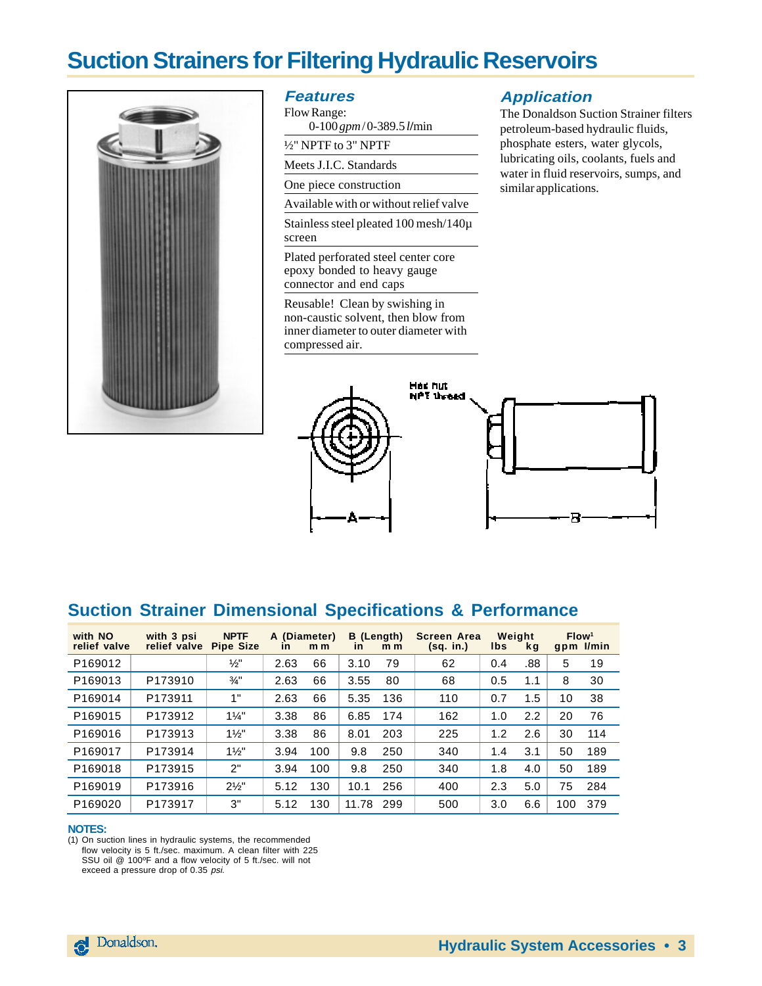## **Suction Strainers for Filtering Hydraulic Reservoirs**



#### **Features**

Flow Range: 0-100 *gpm* / 0-389.5 *l***/**min

½" NPTF to 3" NPTF

Meets J.I.C. Standards

One piece construction

Available with or without relief valve

Stainless steel pleated 100 mesh/140µ screen

Plated perforated steel center core epoxy bonded to heavy gauge connector and end caps

Reusable! Clean by swishing in non-caustic solvent, then blow from inner diameter to outer diameter with compressed air.

#### **Application**

The Donaldson Suction Strainer filters petroleum-based hydraulic fluids, phosphate esters, water glycols, lubricating oils, coolants, fuels and water in fluid reservoirs, sumps, and similar applications.



#### **Suction Strainer Dimensional Specifications & Performance**

| with NO<br>relief valve | with 3 psi<br>relief valve | <b>NPTF</b><br><b>Pipe Size</b> | A (Diameter)<br><b>in</b> | m <sub>m</sub> | B (Length)<br><b>in</b> | m <sub>m</sub> | Screen Area<br>(sq. in.) | Weight<br>lbs | <b>kg</b> | Flow <sup>1</sup> | gpm I/min |
|-------------------------|----------------------------|---------------------------------|---------------------------|----------------|-------------------------|----------------|--------------------------|---------------|-----------|-------------------|-----------|
| P169012                 |                            | $\frac{1}{2}$                   | 2.63                      | 66             | 3.10                    | 79             | 62                       | 0.4           | .88       | 5                 | 19        |
| P169013                 | P173910                    | $\frac{3}{4}$ "                 | 2.63                      | 66             | 3.55                    | 80             | 68                       | 0.5           | 1.1       | 8                 | 30        |
| P169014                 | P173911                    | 1"                              | 2.63                      | 66             | 5.35                    | 136            | 110                      | 0.7           | 1.5       | 10                | 38        |
| P169015                 | P173912                    | $1\frac{1}{4}$                  | 3.38                      | 86             | 6.85                    | 174            | 162                      | 1.0           | 2.2       | 20                | 76        |
| P169016                 | P173913                    | $1\frac{1}{2}$                  | 3.38                      | 86             | 8.01                    | 203            | 225                      | 1.2           | 2.6       | 30                | 114       |
| P169017                 | P173914                    | $1\frac{1}{2}$                  | 3.94                      | 100            | 9.8                     | 250            | 340                      | 1.4           | 3.1       | 50                | 189       |
| P169018                 | P173915                    | 2"                              | 3.94                      | 100            | 9.8                     | 250            | 340                      | 1.8           | 4.0       | 50                | 189       |
| P169019                 | P173916                    | $2\frac{1}{2}$ "                | 5.12                      | 130            | 10.1                    | 256            | 400                      | 2.3           | 5.0       | 75                | 284       |
| P169020                 | P173917                    | 3"                              | 5.12                      | 130            | 11.78                   | 299            | 500                      | 3.0           | 6.6       | 100               | 379       |

#### **NOTES:**

(1) On suction lines in hydraulic systems, the recommended

flow velocity is 5 ft./sec. maximum. A clean filter with 225

SSU oil @ 100ºF and a flow velocity of 5 ft./sec. will not exceed a pressure drop of 0.35 psi.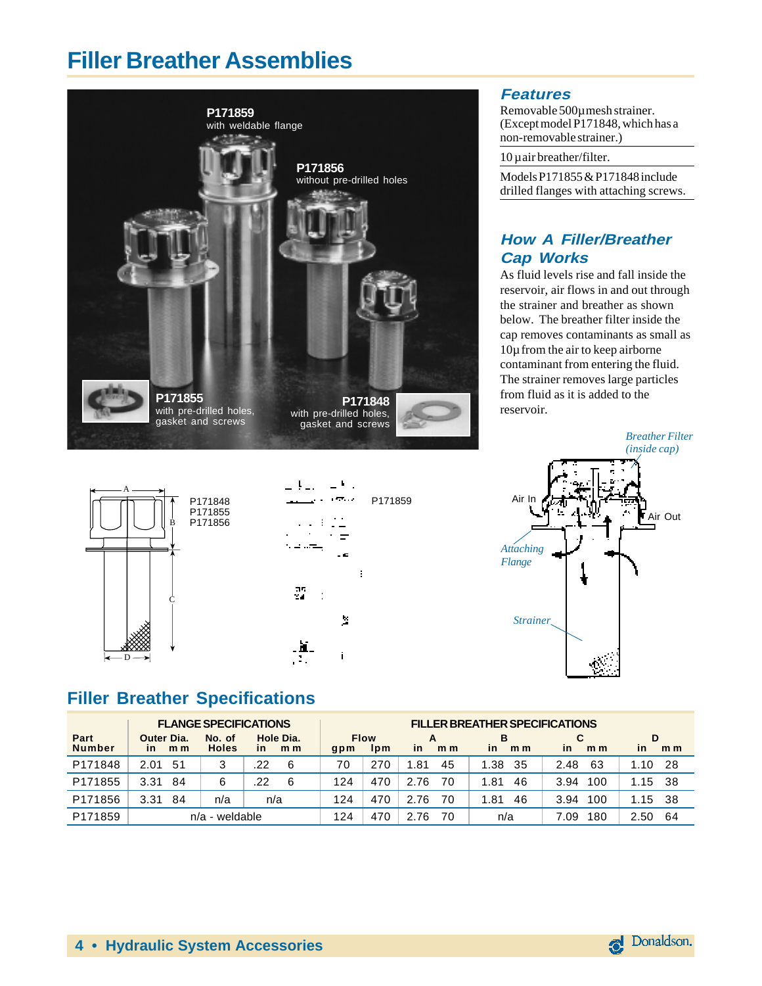## **Filler Breather Assemblies**





#### **Features**

Removable 500µ mesh strainer. (Except model P171848, which has a non-removable strainer.)

10 µ air breather/filter.

Models P171855 & P171848 include drilled flanges with attaching screws.

#### **How A Filler/Breather Cap Works**

As fluid levels rise and fall inside the reservoir, air flows in and out through the strainer and breather as shown below. The breather filter inside the cap removes contaminants as small as 10µ from the air to keep airborne contaminant from entering the fluid. The strainer removes large particles from fluid as it is added to the reservoir.



### **Filler Breather Specifications**

| <b>FLANGE SPECIFICATIONS</b> |                                              |                        |                                    | <b>FILLER BREATHER SPECIFICATIONS</b> |                                |                             |                                  |                      |                                  |  |
|------------------------------|----------------------------------------------|------------------------|------------------------------------|---------------------------------------|--------------------------------|-----------------------------|----------------------------------|----------------------|----------------------------------|--|
| Part<br><b>Number</b>        | Outer Dia.<br>m <sub>m</sub><br>$\mathsf{I}$ | No. of<br><b>Holes</b> | Hole Dia.<br>in.<br>m <sub>m</sub> | qpm                                   | <b>Flow</b><br>1 <sub>pm</sub> | <b>in</b><br>m <sub>m</sub> | в<br><i>in</i><br>m <sub>m</sub> | in<br>m <sub>m</sub> | D<br><i>in</i><br>m <sub>m</sub> |  |
| P171848                      | 2.01<br>-51                                  | 3                      | .22<br>6                           | 70                                    | 270                            | .81<br>45                   | 1.38<br>-35                      | 63<br>2.48           | -28<br>1.10                      |  |
| P171855                      | 3.31<br>84                                   | 6                      | 22<br>6                            | 124                                   | 470                            | 2.76<br>70                  | 46<br>1.81                       | 100<br>3.94          | -38<br>1.15                      |  |
| P171856                      | 3.31<br>84                                   | n/a                    | n/a                                | 124                                   | 470                            | 2.76<br>70                  | 46<br>1.81                       | 3.94<br>100          | -38<br>1.15                      |  |
| P171859                      |                                              | $n/a$ - weldable       |                                    | 124                                   | 470                            | 2.76<br>70                  | n/a                              | 180<br>7.09          | 64<br>2.50                       |  |

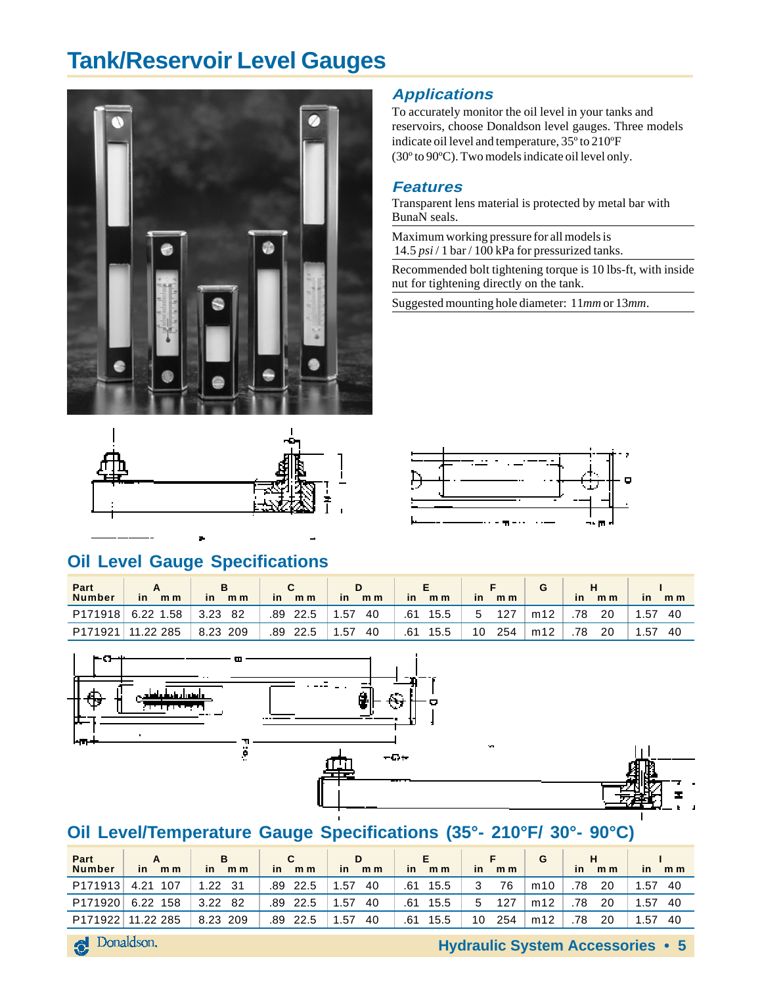## **Tank/Reservoir Level Gauges**





#### **Applications**

To accurately monitor the oil level in your tanks and reservoirs, choose Donaldson level gauges. Three models indicate oil level and temperature, 35º to 210ºF (30º to 90ºC). Two models indicate oil level only.

#### **Features**

Transparent lens material is protected by metal bar with BunaN seals.

Maximum working pressure for all models is 14.5 *psi* / 1 bar / 100 kPa for pressurized tanks.

Recommended bolt tightening torque is 10 lbs-ft, with inside nut for tightening directly on the tank.

Suggested mounting hole diameter: 11*mm* or 13*mm*.



### **Oil Level Gauge Specifications**

| Part<br><b>Number</b> | m <sub>m</sub><br>$\mathsf{in}$ | m <sub>m</sub><br><b>in</b> | m <sub>m</sub><br>in | m <sub>m</sub><br><i>in</i> | m <sub>m</sub><br><i>in</i> | m <sub>m</sub><br><i>in</i> |     | m <sub>m</sub><br><b>in</b> | in<br>m <sub>m</sub> |
|-----------------------|---------------------------------|-----------------------------|----------------------|-----------------------------|-----------------------------|-----------------------------|-----|-----------------------------|----------------------|
| P171918               | 6.22<br>1.58                    | 3.23<br>82                  | .89<br>22.5          | . 57<br>40                  | 15.5<br>.61                 | 127<br>b                    | m12 | 78<br>20                    | 1.57<br>40           |
| P171921               | 11.22 285                       | 8.23<br>209                 | .89<br>22.5          | .57<br>40                   | .61<br>15.5                 | 10<br>254                   | m12 | 78<br>20                    | .57<br>40            |



### **Oil Level/Temperature Gauge Specifications (35°- 210°F/ 30°- 90°C)**

| Part<br><b>Number</b> | m <sub>m</sub><br>in. | <b>B</b><br>in.<br>m <sub>m</sub> | C.<br>in.<br>m <sub>m</sub> | D<br>in<br>m <sub>m</sub> | E.<br>m <sub>m</sub><br>in | F.<br><i>in</i><br>m <sub>m</sub> | G   | н<br>m <sub>m</sub><br>in | m <sub>m</sub><br><b>in</b> |
|-----------------------|-----------------------|-----------------------------------|-----------------------------|---------------------------|----------------------------|-----------------------------------|-----|---------------------------|-----------------------------|
| P171913               | 107<br>4.21           | 1.22<br>- 31                      | 22.5<br>.89                 | 1.57<br>40                | 15.5<br>.61                | 76<br>3                           | m10 | 20<br>.78                 | 1.57<br>40                  |
| P171920               | 6.22<br>158           | 3.22<br>82                        | .89<br>-22.5                | .57<br>40                 | 15.5<br>.61                | 127<br>5.                         | m12 | 78<br>20                  | 1.57<br>-40                 |
|                       | P171922 11.22 285     | 8.23 209                          | .89<br>22.5                 | .57<br>40                 | .61<br>15.5                | 254<br>10                         | m12 | 20<br>78                  | 1.57<br>40                  |

**Hydraulic System Accessories • 5**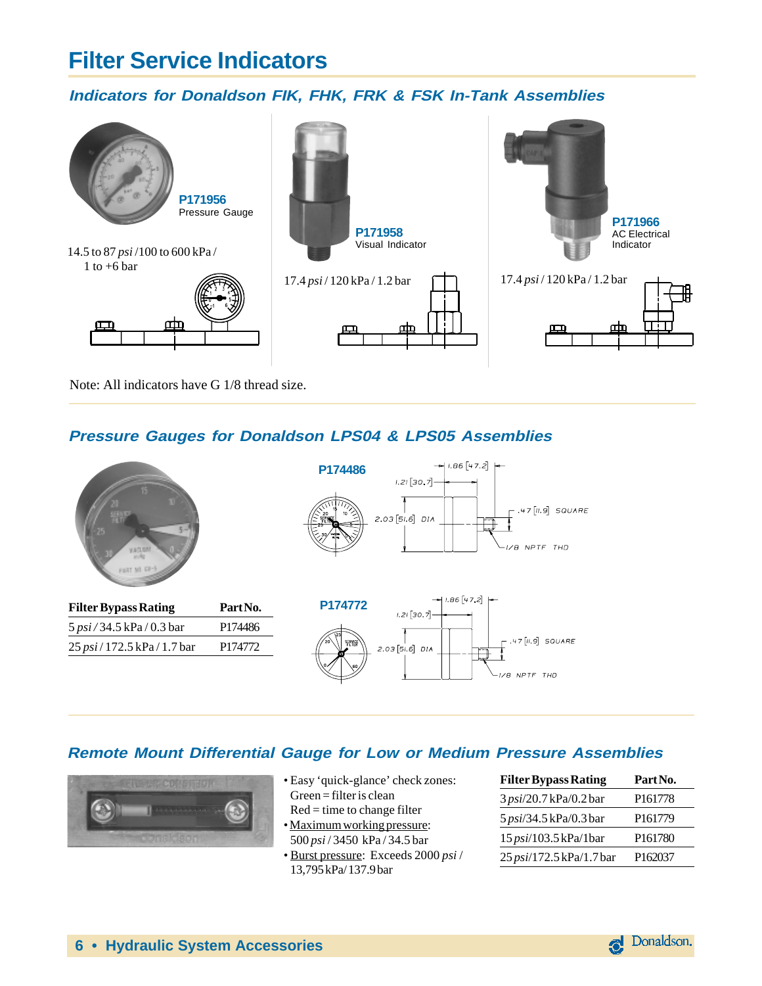## **Filter Service Indicators**

#### **Indicators for Donaldson FIK, FHK, FRK & FSK In-Tank Assemblies**



Note: All indicators have G 1/8 thread size.

#### **Pressure Gauges for Donaldson LPS04 & LPS05 Assemblies**



#### **Remote Mount Differential Gauge for Low or Medium Pressure Assemblies**



- Easy 'quick-glance' check zones: Green = filter is clean
- $Red = time to change filter$ • Maximum working pressure: 500 *psi* / 3450 kPa / 34.5 bar
- Burst pressure: Exceeds 2000 *psi* / 13,795 kPa/ 137.9 bar

| <b>Filter Bypass Rating</b> | Part No.            |
|-----------------------------|---------------------|
| 3 psi/20.7 kPa/0.2 bar      | P <sub>161778</sub> |
| 5 psi/34.5 kPa/0.3 bar      | P <sub>161779</sub> |
| 15 psi/103.5 kPa/1bar       | P <sub>161780</sub> |
| 25 psi/172.5 kPa/1.7 bar    | P <sub>162037</sub> |

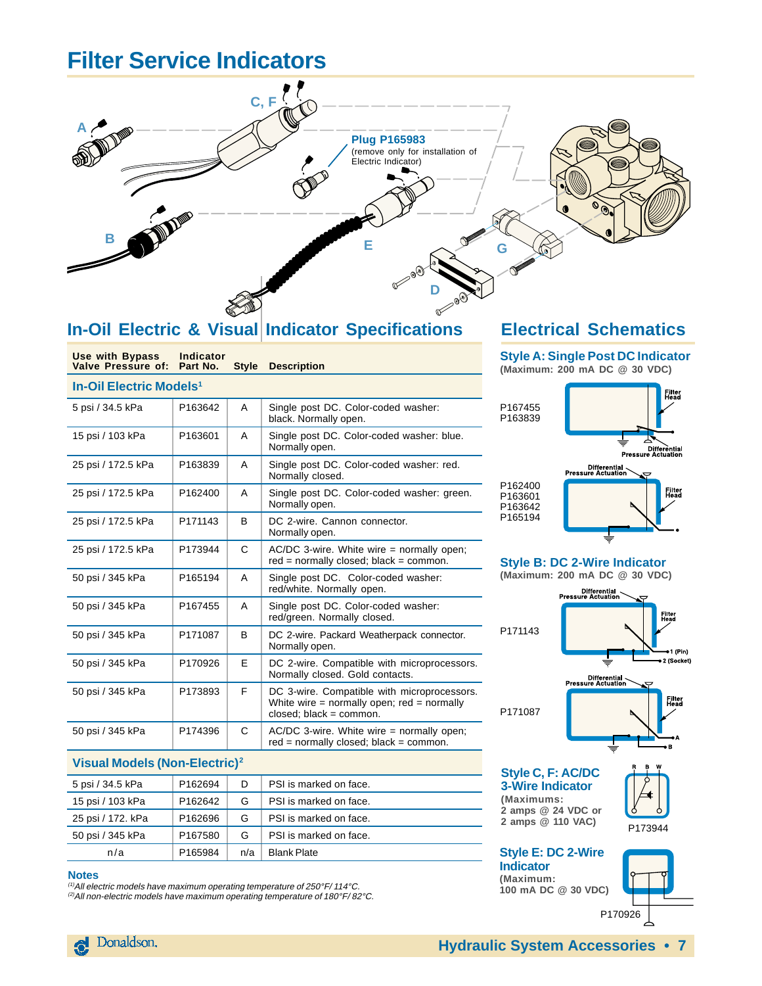## **Filter Service Indicators**



### **In-Oil Electric & Visual Indicator Specifications**

| <b>Use with Bypass</b><br>Valve Pressure of: | Indicator<br>Part No. | <b>Style</b> | <b>Description</b>                                                                                                          |  |  |  |  |  |
|----------------------------------------------|-----------------------|--------------|-----------------------------------------------------------------------------------------------------------------------------|--|--|--|--|--|
| <b>In-Oil Electric Models<sup>1</sup></b>    |                       |              |                                                                                                                             |  |  |  |  |  |
| 5 psi / 34.5 kPa                             | P163642               | A            | Single post DC. Color-coded washer:<br>black. Normally open.                                                                |  |  |  |  |  |
| 15 psi / 103 kPa                             | P163601               | A            | Single post DC. Color-coded washer: blue.<br>Normally open.                                                                 |  |  |  |  |  |
| 25 psi / 172.5 kPa                           | P163839               | A            | Single post DC. Color-coded washer: red.<br>Normally closed.                                                                |  |  |  |  |  |
| 25 psi / 172.5 kPa                           | P162400               | A            | Single post DC. Color-coded washer: green.<br>Normally open.                                                                |  |  |  |  |  |
| 25 psi / 172.5 kPa                           | P171143               | <sub>B</sub> | DC 2-wire. Cannon connector.<br>Normally open.                                                                              |  |  |  |  |  |
| 25 psi / 172.5 kPa                           | P173944               | C            | $AC/DC$ 3-wire. White wire = normally open;<br>$red = normally closed; black = common.$                                     |  |  |  |  |  |
| 50 psi / 345 kPa                             | P165194               | A            | Single post DC. Color-coded washer:<br>red/white. Normally open.                                                            |  |  |  |  |  |
| 50 psi / 345 kPa                             | P167455               | A            | Single post DC. Color-coded washer:<br>red/green. Normally closed.                                                          |  |  |  |  |  |
| 50 psi / 345 kPa                             | P171087               | B            | DC 2-wire. Packard Weatherpack connector.<br>Normally open.                                                                 |  |  |  |  |  |
| 50 psi / 345 kPa                             | P170926               | E.           | DC 2-wire. Compatible with microprocessors.<br>Normally closed. Gold contacts.                                              |  |  |  |  |  |
| 50 psi / 345 kPa                             | P173893               | F            | DC 3-wire. Compatible with microprocessors.<br>White wire $=$ normally open; red $=$ normally<br>$closed$ ; black = common. |  |  |  |  |  |
| 50 psi / 345 kPa                             | P174396               | C            | $AC/DC$ 3-wire. White wire = normally open;<br>$red = normally closed; black = common.$                                     |  |  |  |  |  |
|                                              |                       |              |                                                                                                                             |  |  |  |  |  |

#### **Visual Models (Non-Electric)2**

| 5 psi / 34.5 kPa  | P <sub>162694</sub> | D   | PSI is marked on face. |
|-------------------|---------------------|-----|------------------------|
| 15 psi / 103 kPa  | P <sub>162642</sub> | G   | PSI is marked on face. |
| 25 psi / 172. kPa | P <sub>162696</sub> | G   | PSI is marked on face. |
| 50 psi / 345 kPa  | P <sub>167580</sub> | G   | PSI is marked on face. |
| n/a               | P165984             | n/a | <b>Blank Plate</b>     |

#### **Notes**

(1)All electric models have maximum operating temperature of 250°F/ 114°C. (2)All non-electric models have maximum operating temperature of 180°F/ 82°C.

#### **Electrical Schematics**

**Style A: Single Post DC Indicator (Maximum: 200 mA DC @ 30 VDC)**



#### **Style B: DC 2-Wire Indicator (Maximum: 200 mA DC @ 30 VDC)**



**Indicator (Maximum: 100 mA DC @ 30 VDC)**